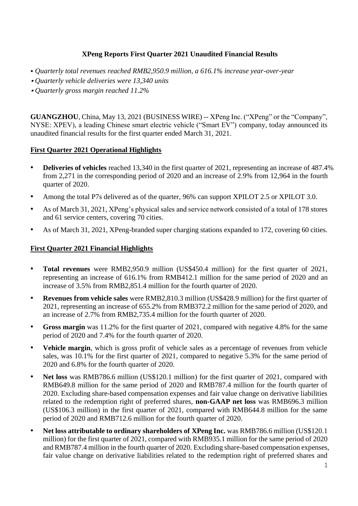# **XPeng Reports First Quarter 2021 Unaudited Financial Results**

- *Quarterly total revenues reached RMB2,950.9 million, a 616.1% increase year-over-year*
- *Quarterly vehicle deliveries were 13,340 units*
- *Quarterly gross margin reached 11.2%*

**GUANGZHOU**, China, May 13, 2021 (BUSINESS WIRE) -- XPeng Inc. ("XPeng" or the "Company", NYSE: XPEV), a leading Chinese smart electric vehicle ("Smart EV") company, today announced its unaudited financial results for the first quarter ended March 31, 2021.

# **First Quarter 2021 Operational Highlights**

- **Deliveries of vehicles** reached 13,340 in the first quarter of 2021, representing an increase of 487.4% from 2,271 in the corresponding period of 2020 and an increase of 2.9% from 12,964 in the fourth quarter of 2020.
- Among the total P7s delivered as of the quarter, 96% can support XPILOT 2.5 or XPILOT 3.0.
- As of March 31, 2021, XPeng's physical sales and service network consisted of a total of 178 stores and 61 service centers, covering 70 cities.
- As of March 31, 2021, XPeng-branded super charging stations expanded to 172, covering 60 cities.

## **First Quarter 2021 Financial Highlights**

- **Total revenues** were RMB2,950.9 million (US\$450.4 million) for the first quarter of 2021, representing an increase of 616.1% from RMB412.1 million for the same period of 2020 and an increase of 3.5% from RMB2,851.4 million for the fourth quarter of 2020.
- **Revenues from vehicle sales** were RMB2,810.3 million (US\$428.9 million) for the first quarter of 2021, representing an increase of 655.2% from RMB372.2 million for the same period of 2020, and an increase of 2.7% from RMB2,735.4 million for the fourth quarter of 2020.
- **Gross margin** was 11.2% for the first quarter of 2021, compared with negative 4.8% for the same period of 2020 and 7.4% for the fourth quarter of 2020.
- **Vehicle margin**, which is gross profit of vehicle sales as a percentage of revenues from vehicle sales, was 10.1% for the first quarter of 2021, compared to negative 5.3% for the same period of 2020 and 6.8% for the fourth quarter of 2020.
- **Net loss** was RMB786.6 million (US\$120.1 million) for the first quarter of 2021, compared with RMB649.8 million for the same period of 2020 and RMB787.4 million for the fourth quarter of 2020. Excluding share-based compensation expenses and fair value change on derivative liabilities related to the redemption right of preferred shares, **non-GAAP net loss** was RMB696.3 million (US\$106.3 million) in the first quarter of 2021, compared with RMB644.8 million for the same period of 2020 and RMB712.6 million for the fourth quarter of 2020.
- **Net loss attributable to ordinary shareholders of XPeng Inc.** was RMB786.6 million (US\$120.1 million) for the first quarter of 2021, compared with RMB935.1 million for the same period of 2020 and RMB787.4 million in the fourth quarter of 2020. Excluding share-based compensation expenses, fair value change on derivative liabilities related to the redemption right of preferred shares and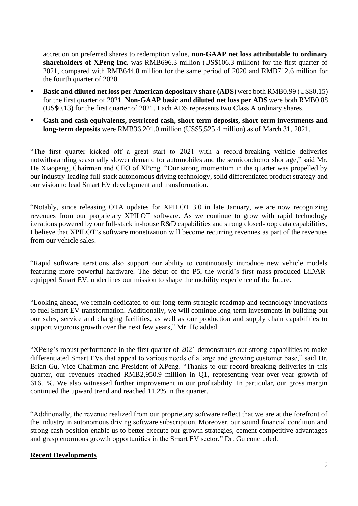accretion on preferred shares to redemption value, **non-GAAP net loss attributable to ordinary shareholders of XPeng Inc.** was RMB696.3 million (US\$106.3 million) for the first quarter of 2021, compared with RMB644.8 million for the same period of 2020 and RMB712.6 million for the fourth quarter of 2020.

- **Basic and diluted net loss per American depositary share (ADS)** were both RMB0.99 (US\$0.15) for the first quarter of 2021. **Non-GAAP basic and diluted net loss per ADS** were both RMB0.88 (US\$0.13) for the first quarter of 2021. Each ADS represents two Class A ordinary shares.
- **Cash and cash equivalents, restricted cash, short-term deposits, short-term investments and long-term deposits** were RMB36,201.0 million (US\$5,525.4 million) as of March 31, 2021.

"The first quarter kicked off a great start to 2021 with a record-breaking vehicle deliveries notwithstanding seasonally slower demand for automobiles and the semiconductor shortage," said Mr. He Xiaopeng, Chairman and CEO of XPeng. "Our strong momentum in the quarter was propelled by our industry-leading full-stack autonomous driving technology, solid differentiated product strategy and our vision to lead Smart EV development and transformation.

"Notably, since releasing OTA updates for XPILOT 3.0 in late January, we are now recognizing revenues from our proprietary XPILOT software. As we continue to grow with rapid technology iterations powered by our full-stack in-house R&D capabilities and strong closed-loop data capabilities, I believe that XPILOT's software monetization will become recurring revenues as part of the revenues from our vehicle sales.

"Rapid software iterations also support our ability to continuously introduce new vehicle models featuring more powerful hardware. The debut of the P5, the world's first mass-produced LiDARequipped Smart EV, underlines our mission to shape the mobility experience of the future.

"Looking ahead, we remain dedicated to our long-term strategic roadmap and technology innovations to fuel Smart EV transformation. Additionally, we will continue long-term investments in building out our sales, service and charging facilities, as well as our production and supply chain capabilities to support vigorous growth over the next few years," Mr. He added.

"XPeng's robust performance in the first quarter of 2021 demonstrates our strong capabilities to make differentiated Smart EVs that appeal to various needs of a large and growing customer base," said Dr. Brian Gu, Vice Chairman and President of XPeng. "Thanks to our record-breaking deliveries in this quarter, our revenues reached RMB2,950.9 million in Q1, representing year-over-year growth of 616.1%. We also witnessed further improvement in our profitability. In particular, our gross margin continued the upward trend and reached 11.2% in the quarter.

"Additionally, the revenue realized from our proprietary software reflect that we are at the forefront of the industry in autonomous driving software subscription. Moreover, our sound financial condition and strong cash position enable us to better execute our growth strategies, cement competitive advantages and grasp enormous growth opportunities in the Smart EV sector," Dr. Gu concluded.

# **Recent Developments**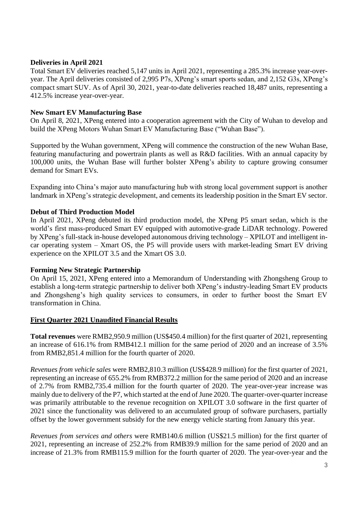## **Deliveries in April 2021**

Total Smart EV deliveries reached 5,147 units in April 2021, representing a 285.3% increase year-overyear. The April deliveries consisted of 2,995 P7s, XPeng's smart sports sedan, and 2,152 G3s, XPeng's compact smart SUV. As of April 30, 2021, year-to-date deliveries reached 18,487 units, representing a 412.5% increase year-over-year.

## **New Smart EV Manufacturing Base**

On April 8, 2021, XPeng entered into a cooperation agreement with the City of Wuhan to develop and build the XPeng Motors Wuhan Smart EV Manufacturing Base ("Wuhan Base").

Supported by the Wuhan government, XPeng will commence the construction of the new Wuhan Base, featuring manufacturing and powertrain plants as well as R&D facilities. With an annual capacity by 100,000 units, the Wuhan Base will further bolster XPeng's ability to capture growing consumer demand for Smart EVs.

Expanding into China's major auto manufacturing hub with strong local government support is another landmark in XPeng's strategic development, and cements its leadership position in the Smart EV sector.

## **Debut of Third Production Model**

In April 2021, XPeng debuted its third production model, the XPeng P5 smart sedan, which is the world's first mass-produced Smart EV equipped with automotive-grade LiDAR technology. Powered by XPeng's full-stack in-house developed autonomous driving technology – XPILOT and intelligent incar operating system – Xmart OS, the P5 will provide users with market-leading Smart EV driving experience on the XPILOT 3.5 and the Xmart OS 3.0.

### **Forming New Strategic Partnership**

On April 15, 2021, XPeng entered into a Memorandum of Understanding with Zhongsheng Group to establish a long-term strategic partnership to deliver both XPeng's industry-leading Smart EV products and Zhongsheng's high quality services to consumers, in order to further boost the Smart EV transformation in China.

### **First Quarter 2021 Unaudited Financial Results**

**Total revenues** were RMB2,950.9 million (US\$450.4 million) for the first quarter of 2021, representing an increase of 616.1% from RMB412.1 million for the same period of 2020 and an increase of 3.5% from RMB2,851.4 million for the fourth quarter of 2020.

*Revenues from vehicle sales* were RMB2,810.3 million (US\$428.9 million) for the first quarter of 2021, representing an increase of 655.2% from RMB372.2 million for the same period of 2020 and an increase of 2.7% from RMB2,735.4 million for the fourth quarter of 2020. The year-over-year increase was mainly due to delivery of the P7, which started at the end of June 2020. The quarter-over-quarter increase was primarily attributable to the revenue recognition on XPILOT 3.0 software in the first quarter of 2021 since the functionality was delivered to an accumulated group of software purchasers, partially offset by the lower government subsidy for the new energy vehicle starting from January this year.

*Revenues from services and others* were RMB140.6 million (US\$21.5 million) for the first quarter of 2021, representing an increase of 252.2% from RMB39.9 million for the same period of 2020 and an increase of 21.3% from RMB115.9 million for the fourth quarter of 2020. The year-over-year and the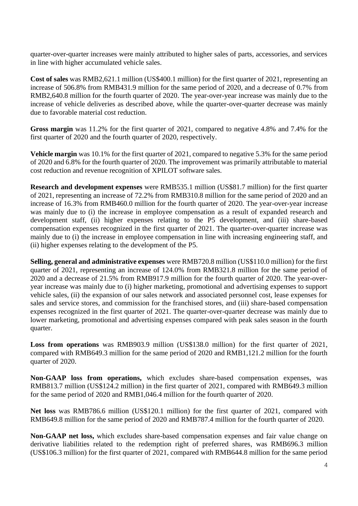quarter-over-quarter increases were mainly attributed to higher sales of parts, accessories, and services in line with higher accumulated vehicle sales.

**Cost of sales** was RMB2,621.1 million (US\$400.1 million) for the first quarter of 2021, representing an increase of 506.8% from RMB431.9 million for the same period of 2020, and a decrease of 0.7% from RMB2,640.8 million for the fourth quarter of 2020. The year-over-year increase was mainly due to the increase of vehicle deliveries as described above, while the quarter-over-quarter decrease was mainly due to favorable material cost reduction.

**Gross margin** was 11.2% for the first quarter of 2021, compared to negative 4.8% and 7.4% for the first quarter of 2020 and the fourth quarter of 2020, respectively.

**Vehicle margin** was 10.1% for the first quarter of 2021, compared to negative 5.3% for the same period of 2020 and 6.8% for the fourth quarter of 2020. The improvement was primarily attributable to material cost reduction and revenue recognition of XPILOT software sales.

**Research and development expenses** were RMB535.1 million (US\$81.7 million) for the first quarter of 2021, representing an increase of 72.2% from RMB310.8 million for the same period of 2020 and an increase of 16.3% from RMB460.0 million for the fourth quarter of 2020. The year-over-year increase was mainly due to (i) the increase in employee compensation as a result of expanded research and development staff, (ii) higher expenses relating to the P5 development, and (iii) share-based compensation expenses recognized in the first quarter of 2021. The quarter-over-quarter increase was mainly due to (i) the increase in employee compensation in line with increasing engineering staff, and (ii) higher expenses relating to the development of the P5.

**Selling, general and administrative expenses** were RMB720.8 million (US\$110.0 million) for the first quarter of 2021, representing an increase of 124.0% from RMB321.8 million for the same period of 2020 and a decrease of 21.5% from RMB917.9 million for the fourth quarter of 2020. The year-overyear increase was mainly due to (i) higher marketing, promotional and advertising expenses to support vehicle sales, (ii) the expansion of our sales network and associated personnel cost, lease expenses for sales and service stores, and commission for the franchised stores, and (iii) share-based compensation expenses recognized in the first quarter of 2021. The quarter-over-quarter decrease was mainly due to lower marketing, promotional and advertising expenses compared with peak sales season in the fourth quarter.

**Loss from operations** was RMB903.9 million (US\$138.0 million) for the first quarter of 2021, compared with RMB649.3 million for the same period of 2020 and RMB1,121.2 million for the fourth quarter of 2020.

**Non-GAAP loss from operations,** which excludes share-based compensation expenses, was RMB813.7 million (US\$124.2 million) in the first quarter of 2021, compared with RMB649.3 million for the same period of 2020 and RMB1,046.4 million for the fourth quarter of 2020.

**Net loss** was RMB786.6 million (US\$120.1 million) for the first quarter of 2021, compared with RMB649.8 million for the same period of 2020 and RMB787.4 million for the fourth quarter of 2020.

**Non-GAAP net loss,** which excludes share-based compensation expenses and fair value change on derivative liabilities related to the redemption right of preferred shares, was RMB696.3 million (US\$106.3 million) for the first quarter of 2021, compared with RMB644.8 million for the same period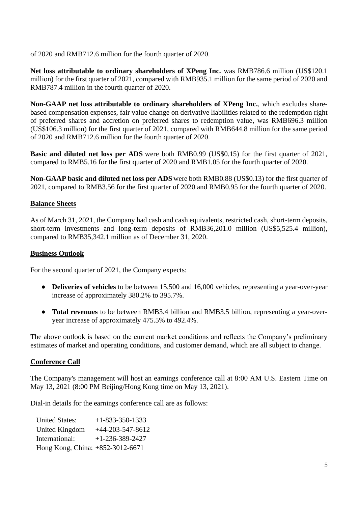of 2020 and RMB712.6 million for the fourth quarter of 2020.

Net loss attributable to ordinary shareholders of XPeng Inc. was RMB786.6 million (US\$120.1) million) for the first quarter of 2021, compared with RMB935.1 million for the same period of 2020 and RMB787.4 million in the fourth quarter of 2020.

**Non-GAAP net loss attributable to ordinary shareholders of XPeng Inc.**, which excludes sharebased compensation expenses, fair value change on derivative liabilities related to the redemption right of preferred shares and accretion on preferred shares to redemption value, was RMB696.3 million (US\$106.3 million) for the first quarter of 2021, compared with RMB644.8 million for the same period of 2020 and RMB712.6 million for the fourth quarter of 2020.

**Basic and diluted net loss per ADS** were both RMB0.99 (US\$0.15) for the first quarter of 2021, compared to RMB5.16 for the first quarter of 2020 and RMB1.05 for the fourth quarter of 2020.

**Non-GAAP basic and diluted net loss per ADS** were both RMB0.88 (US\$0.13) for the first quarter of 2021, compared to RMB3.56 for the first quarter of 2020 and RMB0.95 for the fourth quarter of 2020.

# **Balance Sheets**

As of March 31, 2021, the Company had cash and cash equivalents, restricted cash, short-term deposits, short-term investments and long-term deposits of RMB36,201.0 million (US\$5,525.4 million), compared to RMB35,342.1 million as of December 31, 2020.

### **Business Outlook**

For the second quarter of 2021, the Company expects:

- **Deliveries of vehicles** to be between 15,500 and 16,000 vehicles, representing a year-over-year increase of approximately 380.2% to 395.7%.
- **Total revenues** to be between RMB3.4 billion and RMB3.5 billion, representing a year-overyear increase of approximately 475.5% to 492.4%.

The above outlook is based on the current market conditions and reflects the Company's preliminary estimates of market and operating conditions, and customer demand, which are all subject to change.

# **Conference Call**

The Company's management will host an earnings conference call at 8:00 AM U.S. Eastern Time on May 13, 2021 (8:00 PM Beijing/Hong Kong time on May 13, 2021).

Dial-in details for the earnings conference call are as follows:

| <b>United States:</b>            | $+1 - 833 - 350 - 1333$ |
|----------------------------------|-------------------------|
| United Kingdom                   | $+44-203-547-8612$      |
| International:                   | $+1-236-389-2427$       |
| Hong Kong, China: +852-3012-6671 |                         |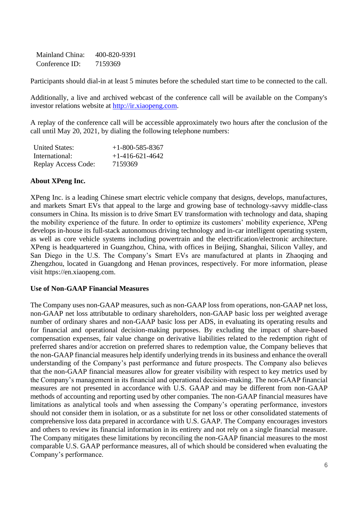Mainland China: 400-820-9391 Conference ID: 7159369

Participants should dial-in at least 5 minutes before the scheduled start time to be connected to the call.

Additionally, a live and archived webcast of the conference call will be available on the Company's investor relations website at [http://ir.xiaopeng.com.](http://ir.xiaopeng.com/)

A replay of the conference call will be accessible approximately two hours after the conclusion of the call until May 20, 2021, by dialing the following telephone numbers:

| <b>United States:</b> | $+1-800-585-8367$ |
|-----------------------|-------------------|
| International:        | $+1-416-621-4642$ |
| Replay Access Code:   | 7159369           |

## **About XPeng Inc.**

XPeng Inc. is a leading Chinese smart electric vehicle company that designs, develops, manufactures, and markets Smart EVs that appeal to the large and growing base of technology-savvy middle-class consumers in China. Its mission is to drive Smart EV transformation with technology and data, shaping the mobility experience of the future. In order to optimize its customers' mobility experience, XPeng develops in-house its full-stack autonomous driving technology and in-car intelligent operating system, as well as core vehicle systems including powertrain and the electrification/electronic architecture. XPeng is headquartered in Guangzhou, China, with offices in Beijing, Shanghai, Silicon Valley, and San Diego in the U.S. The Company's Smart EVs are manufactured at plants in Zhaoqing and Zhengzhou, located in Guangdong and Henan provinces, respectively. For more information, please visit [https://en.xiaopeng.com.](https://cts.businesswire.com/ct/CT?id=smartlink&url=https%3A%2F%2Fen.xiaopeng.com&esheet=52300097&newsitemid=20201004005044&lan=en-US&anchor=https%3A%2F%2Fen.xiaopeng.com&index=1&md5=732d5d91191f893c43c1249798675b0e)

### **Use of Non-GAAP Financial Measures**

The Company uses non-GAAP measures, such as non-GAAP loss from operations, non-GAAP net loss, non-GAAP net loss attributable to ordinary shareholders, non-GAAP basic loss per weighted average number of ordinary shares and non-GAAP basic loss per ADS, in evaluating its operating results and for financial and operational decision-making purposes. By excluding the impact of share-based compensation expenses, fair value change on derivative liabilities related to the redemption right of preferred shares and/or accretion on preferred shares to redemption value, the Company believes that the non-GAAP financial measures help identify underlying trends in its business and enhance the overall understanding of the Company's past performance and future prospects. The Company also believes that the non-GAAP financial measures allow for greater visibility with respect to key metrics used by the Company's management in its financial and operational decision-making. The non-GAAP financial measures are not presented in accordance with U.S. GAAP and may be different from non-GAAP methods of accounting and reporting used by other companies. The non-GAAP financial measures have limitations as analytical tools and when assessing the Company's operating performance, investors should not consider them in isolation, or as a substitute for net loss or other consolidated statements of comprehensive loss data prepared in accordance with U.S. GAAP. The Company encourages investors and others to review its financial information in its entirety and not rely on a single financial measure. The Company mitigates these limitations by reconciling the non-GAAP financial measures to the most comparable U.S. GAAP performance measures, all of which should be considered when evaluating the Company's performance.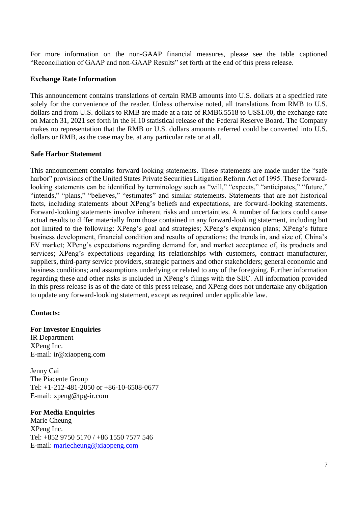For more information on the non-GAAP financial measures, please see the table captioned "Reconciliation of GAAP and non-GAAP Results" set forth at the end of this press release.

### **Exchange Rate Information**

This announcement contains translations of certain RMB amounts into U.S. dollars at a specified rate solely for the convenience of the reader. Unless otherwise noted, all translations from RMB to U.S. dollars and from U.S. dollars to RMB are made at a rate of RMB6.5518 to US\$1.00, the exchange rate on March 31, 2021 set forth in the H.10 statistical release of the Federal Reserve Board. The Company makes no representation that the RMB or U.S. dollars amounts referred could be converted into U.S. dollars or RMB, as the case may be, at any particular rate or at all.

### **Safe Harbor Statement**

This announcement contains forward-looking statements. These statements are made under the "safe harbor" provisions of the United States Private Securities Litigation Reform Act of 1995. These forwardlooking statements can be identified by terminology such as "will," "expects," "anticipates," "future," "intends," "plans," "believes," "estimates" and similar statements. Statements that are not historical facts, including statements about XPeng's beliefs and expectations, are forward-looking statements. Forward-looking statements involve inherent risks and uncertainties. A number of factors could cause actual results to differ materially from those contained in any forward-looking statement, including but not limited to the following: XPeng's goal and strategies; XPeng's expansion plans; XPeng's future business development, financial condition and results of operations; the trends in, and size of, China's EV market; XPeng's expectations regarding demand for, and market acceptance of, its products and services; XPeng's expectations regarding its relationships with customers, contract manufacturer, suppliers, third-party service providers, strategic partners and other stakeholders; general economic and business conditions; and assumptions underlying or related to any of the foregoing. Further information regarding these and other risks is included in XPeng's filings with the SEC. All information provided in this press release is as of the date of this press release, and XPeng does not undertake any obligation to update any forward-looking statement, except as required under applicable law.

# **Contacts:**

### **For Investor Enquiries**

IR Department XPeng Inc. E-mail: ir@xiaopeng.com

Jenny Cai The Piacente Group Tel: +1-212-481-2050 or +86-10-6508-0677 E-mail: xpeng@tpg-ir.com

# **For Media Enquiries**

Marie Cheung XPeng Inc. Tel: +852 9750 5170 / +86 1550 7577 546 E-mail: [mariecheung@xiaopeng.com](mailto:mariecheung@xiaopeng.com)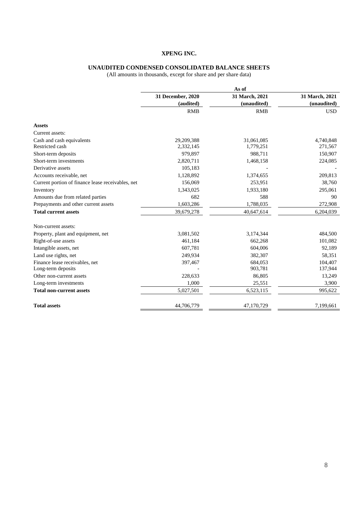#### **UNAUDITED CONDENSED CONSOLIDATED BALANCE SHEETS**

|                                                   | As of             |                |                |  |
|---------------------------------------------------|-------------------|----------------|----------------|--|
|                                                   | 31 December, 2020 | 31 March, 2021 | 31 March, 2021 |  |
|                                                   | (audited)         | (unaudited)    | (unaudited)    |  |
|                                                   | <b>RMB</b>        | <b>RMB</b>     | <b>USD</b>     |  |
| <b>Assets</b>                                     |                   |                |                |  |
| Current assets:                                   |                   |                |                |  |
| Cash and cash equivalents                         | 29,209,388        | 31,061,085     | 4,740,848      |  |
| Restricted cash                                   | 2,332,145         | 1,779,251      | 271,567        |  |
| Short-term deposits                               | 979,897           | 988,711        | 150,907        |  |
| Short-term investments                            | 2,820,711         | 1,468,158      | 224,085        |  |
| Derivative assets                                 | 105,183           |                |                |  |
| Accounts receivable, net                          | 1,128,892         | 1,374,655      | 209,813        |  |
| Current portion of finance lease receivables, net | 156,069           | 253,951        | 38,760         |  |
| Inventory                                         | 1,343,025         | 1,933,180      | 295,061        |  |
| Amounts due from related parties                  | 682               | 588            | 90             |  |
| Prepayments and other current assets              | 1,603,286         | 1,788,035      | 272,908        |  |
| <b>Total current assets</b>                       | 39,679,278        | 40,647,614     | 6,204,039      |  |
| Non-current assets:                               |                   |                |                |  |
| Property, plant and equipment, net                | 3,081,502         | 3,174,344      | 484,500        |  |
| Right-of-use assets                               | 461,184           | 662,268        | 101,082        |  |
| Intangible assets, net                            | 607,781           | 604,006        | 92,189         |  |
| Land use rights, net                              | 249,934           | 382,307        | 58,351         |  |
| Finance lease receivables, net                    | 397,467           | 684,053        | 104,407        |  |
| Long-term deposits                                |                   | 903,781        | 137,944        |  |
| Other non-current assets                          | 228,633           | 86,805         | 13,249         |  |
| Long-term investments                             | 1,000             | 25,551         | 3,900          |  |
| <b>Total non-current assets</b>                   | 5,027,501         | 6,523,115      | 995,622        |  |
| <b>Total assets</b>                               | 44,706,779        | 47,170,729     | 7,199,661      |  |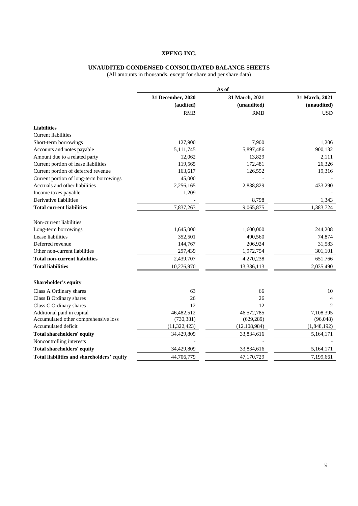#### **UNAUDITED CONDENSED CONSOLIDATED BALANCE SHEETS**

|                                            | As of             |                |                |  |
|--------------------------------------------|-------------------|----------------|----------------|--|
|                                            | 31 December, 2020 | 31 March, 2021 | 31 March, 2021 |  |
|                                            | (audited)         | (unaudited)    | (unaudited)    |  |
|                                            | <b>RMB</b>        | <b>RMB</b>     | <b>USD</b>     |  |
| <b>Liabilities</b>                         |                   |                |                |  |
| <b>Current liabilities</b>                 |                   |                |                |  |
| Short-term borrowings                      | 127,900           | 7,900          | 1,206          |  |
| Accounts and notes payable                 | 5,111,745         | 5,897,486      | 900,132        |  |
| Amount due to a related party              | 12,062            | 13,829         | 2,111          |  |
| Current portion of lease liabilities       | 119,565           | 172,481        | 26,326         |  |
| Current portion of deferred revenue        | 163,617           | 126,552        | 19,316         |  |
| Current portion of long-term borrowings    | 45,000            |                |                |  |
| Accruals and other liabilities             | 2,256,165         | 2,838,829      | 433,290        |  |
| Income taxes payable                       | 1,209             |                |                |  |
| Derivative liabilities                     |                   | 8,798          | 1,343          |  |
| <b>Total current liabilities</b>           | 7,837,263         | 9,065,875      | 1,383,724      |  |
| Non-current liabilities                    |                   |                |                |  |
| Long-term borrowings                       | 1,645,000         | 1,600,000      | 244,208        |  |
| Lease liabilities                          | 352,501           | 490,560        | 74,874         |  |
| Deferred revenue                           | 144,767           | 206,924        | 31,583         |  |
| Other non-current liabilities              | 297,439           | 1,972,754      | 301,101        |  |
| Total non-current liabilities              | 2,439,707         | 4,270,238      | 651,766        |  |
| <b>Total liabilities</b>                   | 10,276,970        | 13,336,113     | 2,035,490      |  |
| <b>Shareholder's equity</b>                |                   |                |                |  |
| Class A Ordinary shares                    | 63                | 66             | 10             |  |
| Class B Ordinary shares                    | 26                | 26             | 4              |  |
| Class C Ordinary shares                    | 12                | 12             | $\overline{2}$ |  |
| Additional paid in capital                 | 46,482,512        | 46,572,785     | 7,108,395      |  |
| Accumulated other comprehensive loss       | (730, 381)        | (629, 289)     | (96,048)       |  |
| Accumulated deficit                        | (11, 322, 423)    | (12, 108, 984) | (1,848,192)    |  |
| Total shareholders' equity                 | 34,429,809        | 33,834,616     | 5,164,171      |  |
| Noncontrolling interests                   |                   |                |                |  |
| Total shareholders' equity                 | 34,429,809        | 33,834,616     | 5,164,171      |  |
| Total liabilities and shareholders' equity | 44,706,779        | 47,170,729     | 7,199,661      |  |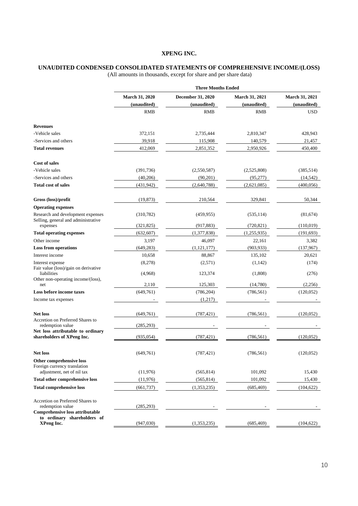#### **UNAUDITED CONDENSED CONSOLIDATED STATEMENTS OF COMPREHENSIVE INCOME/(LOSS)**

|                                                                                                  | <b>Three Months Ended</b>     |                                  |                               |                               |
|--------------------------------------------------------------------------------------------------|-------------------------------|----------------------------------|-------------------------------|-------------------------------|
|                                                                                                  | March 31, 2020<br>(unaudited) | December 31, 2020<br>(unaudited) | March 31, 2021<br>(unaudited) | March 31, 2021<br>(unaudited) |
|                                                                                                  | <b>RMB</b>                    | <b>RMB</b>                       | <b>RMB</b>                    | USD                           |
| <b>Revenues</b>                                                                                  |                               |                                  |                               |                               |
| -Vehicle sales                                                                                   | 372,151                       | 2,735,444                        | 2,810,347                     | 428,943                       |
| -Services and others                                                                             | 39,918                        | 115,908                          | 140,579                       | 21,457                        |
| <b>Total revenues</b>                                                                            | 412,069                       | 2,851,352                        | 2,950,926                     | 450,400                       |
| <b>Cost of sales</b>                                                                             |                               |                                  |                               |                               |
| -Vehicle sales                                                                                   | (391, 736)                    | (2,550,587)                      | (2,525,808)                   | (385,514)                     |
| -Services and others                                                                             | (40,206)                      | (90,201)                         | (95, 277)                     | (14, 542)                     |
| Total cost of sales                                                                              | (431, 942)                    | (2,640,788)                      | (2,621,085)                   | (400, 056)                    |
| Gross (loss)/profit                                                                              | (19, 873)                     | 210,564                          | 329,841                       | 50,344                        |
| <b>Operating expenses</b>                                                                        |                               |                                  |                               |                               |
| Research and development expenses<br>Selling, general and administrative                         | (310, 782)                    | (459, 955)                       | (535, 114)                    | (81, 674)                     |
| expenses                                                                                         | (321, 825)                    | (917, 883)                       | (720, 821)                    | (110,019)                     |
| <b>Total operating expenses</b>                                                                  | (632, 607)                    | (1,377,838)                      | (1,255,935)                   | (191, 693)                    |
| Other income                                                                                     | 3,197                         | 46,097                           | 22,161                        | 3,382                         |
| <b>Loss from operations</b>                                                                      | (649, 283)                    | (1, 121, 177)                    | (903, 933)                    | (137,967)                     |
| Interest income                                                                                  | 10,658                        | 88,867                           | 135,102                       | 20,621                        |
| Interest expense<br>Fair value (loss)/gain on derivative                                         | (8,278)                       | (2,571)                          | (1,142)                       | (174)                         |
| liabilities<br>Other non-operating income/(loss),                                                | (4,968)                       | 123,374                          | (1,808)                       | (276)                         |
| net                                                                                              | 2,110                         | 125,303                          | (14,780)                      | (2,256)                       |
| <b>Loss before income taxes</b><br>Income tax expenses                                           | (649,761)                     | (786, 204)<br>(1,217)            | (786, 561)                    | (120,052)                     |
| <b>Net loss</b>                                                                                  | (649,761)                     | (787, 421)                       | (786, 561)                    | (120, 052)                    |
| <b>Accretion on Preferred Shares to</b><br>redemption value<br>Net loss attributable to ordinary | (285, 293)                    |                                  |                               |                               |
| shareholders of XPeng Inc.                                                                       | (935, 054)                    | (787, 421)                       | (786, 561)                    | (120, 052)                    |
| Net loss                                                                                         | (649, 761)                    | (787, 421)                       | (786, 561)                    | (120, 052)                    |
| Other comprehensive loss<br>Foreign currency translation                                         |                               |                                  |                               |                               |
| adjustment, net of nil tax                                                                       | (11,976)                      | (565, 814)                       | 101,092                       | 15,430                        |
| <b>Total other comprehensive loss</b>                                                            | (11,976)                      | (565, 814)                       | 101,092                       | 15,430                        |
| <b>Total comprehensive loss</b>                                                                  | (661, 737)                    | (1,353,235)                      | (685, 469)                    | (104, 622)                    |
| Accretion on Preferred Shares to<br>redemption value<br><b>Comprehensive loss attributable</b>   | (285, 293)                    |                                  |                               |                               |
| to ordinary shareholders of<br>XPeng Inc.                                                        | (947, 030)                    | (1,353,235)                      | (685, 469)                    | (104, 622)                    |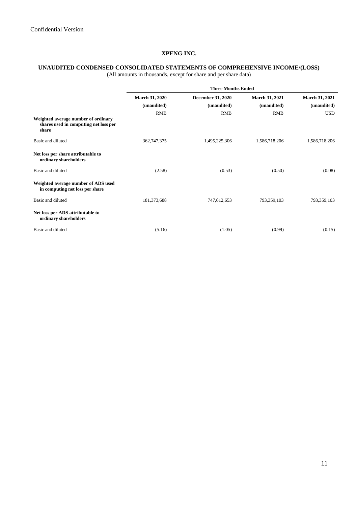# **UNAUDITED CONDENSED CONSOLIDATED STATEMENTS OF COMPREHENSIVE INCOME/(LOSS)**

|                                                                                       | <b>Three Months Ended</b>     |                                         |                                      |                               |
|---------------------------------------------------------------------------------------|-------------------------------|-----------------------------------------|--------------------------------------|-------------------------------|
|                                                                                       | March 31, 2020<br>(unaudited) | <b>December 31, 2020</b><br>(unaudited) | <b>March 31, 2021</b><br>(unaudited) | March 31, 2021<br>(unaudited) |
|                                                                                       | <b>RMB</b>                    | <b>RMB</b>                              | <b>RMB</b>                           | <b>USD</b>                    |
| Weighted average number of ordinary<br>shares used in computing net loss per<br>share |                               |                                         |                                      |                               |
| Basic and diluted                                                                     | 362,747,375                   | 1,495,225,306                           | 1,586,718,206                        | 1,586,718,206                 |
| Net loss per share attributable to<br>ordinary shareholders                           |                               |                                         |                                      |                               |
| Basic and diluted                                                                     | (2.58)                        | (0.53)                                  | (0.50)                               | (0.08)                        |
| Weighted average number of ADS used<br>in computing net loss per share                |                               |                                         |                                      |                               |
| Basic and diluted                                                                     | 181,373,688                   | 747,612,653                             | 793,359,103                          | 793,359,103                   |
| Net loss per ADS attributable to<br>ordinary shareholders                             |                               |                                         |                                      |                               |
| Basic and diluted                                                                     | (5.16)                        | (1.05)                                  | (0.99)                               | (0.15)                        |